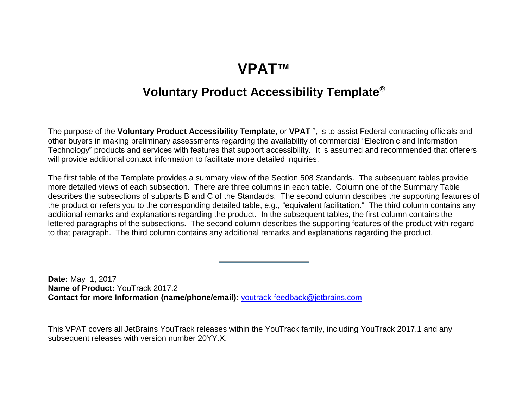### **VPAT™**

#### **Voluntary Product Accessibility Template®**

<span id="page-0-0"></span>The purpose of the **Voluntary Product Accessibility Template**, or **VPAT™**, is to assist Federal contracting officials and other buyers in making preliminary assessments regarding the availability of commercial "Electronic and Information Technology" products and services with features that support accessibility. It is assumed and recommended that offerers will provide additional contact information to facilitate more detailed inquiries.

The first table of the Template provides a summary view of the Section 508 Standards. The subsequent tables provide more detailed views of each subsection. There are three columns in each table. Column one of the Summary Table describes the subsections of subparts B and C of the Standards. The second column describes the supporting features of the product or refers you to the corresponding detailed table, e.g., "equivalent facilitation." The third column contains any additional remarks and explanations regarding the product. In the subsequent tables, the first column contains the lettered paragraphs of the subsections. The second column describes the supporting features of the product with regard to that paragraph. The third column contains any additional remarks and explanations regarding the product.

**Date:** May 1, 2017 **Name of Product:** YouTrack 2017.2 **Contact for more Information (name/phone/email):** [youtrack-feedback@jetbrains.com](mailto:youtrack-feedback@jetbrains.com)

This VPAT covers all JetBrains YouTrack releases within the YouTrack family, including YouTrack 2017.1 and any subsequent releases with version number 20YY.X.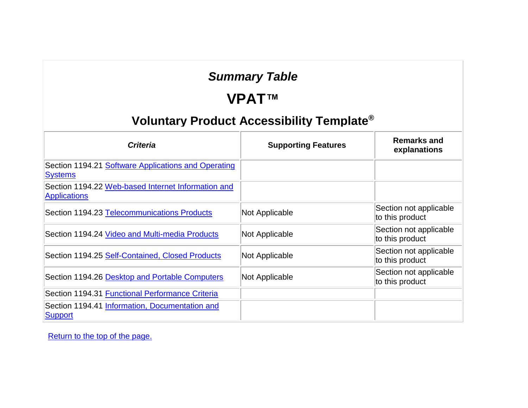### *Summary Table*

# **VPAT™**

### **Voluntary Product Accessibility Template®**

| <b>Criteria</b>                                                           | <b>Supporting Features</b> | <b>Remarks and</b><br>explanations        |
|---------------------------------------------------------------------------|----------------------------|-------------------------------------------|
| Section 1194.21 Software Applications and Operating<br><b>Systems</b>     |                            |                                           |
| Section 1194.22 Web-based Internet Information and<br><b>Applications</b> |                            |                                           |
| Section 1194.23 Telecommunications Products                               | Not Applicable             | Section not applicable<br>to this product |
| Section 1194.24 Video and Multi-media Products                            | Not Applicable             | Section not applicable<br>to this product |
| Section 1194.25 Self-Contained, Closed Products                           | Not Applicable             | Section not applicable<br>to this product |
| Section 1194.26 Desktop and Portable Computers                            | Not Applicable             | Section not applicable<br>to this product |
| Section 1194.31 Functional Performance Criteria                           |                            |                                           |
| Section 1194.41 Information, Documentation and<br><b>Support</b>          |                            |                                           |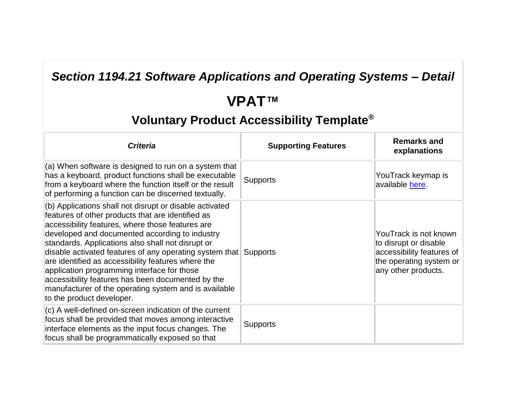### *Section 1194.21 Software Applications and Operating Systems – Detail*

# **VPAT™**

| <b>Criteria</b>                                                                                                                                                                                                                                                                                                                                                                                                                                                                                                                                                                    | <b>Supporting Features</b> | <b>Remarks and</b><br>explanations                                                                                            |
|------------------------------------------------------------------------------------------------------------------------------------------------------------------------------------------------------------------------------------------------------------------------------------------------------------------------------------------------------------------------------------------------------------------------------------------------------------------------------------------------------------------------------------------------------------------------------------|----------------------------|-------------------------------------------------------------------------------------------------------------------------------|
| (a) When software is designed to run on a system that<br>has a keyboard, product functions shall be executable<br>from a keyboard where the function itself or the result<br>of performing a function can be discerned textually.                                                                                                                                                                                                                                                                                                                                                  | <b>Supports</b>            | YouTrack keymap is<br>available here.                                                                                         |
| (b) Applications shall not disrupt or disable activated<br>features of other products that are identified as<br>accessibility features, where those features are<br>developed and documented according to industry<br>standards. Applications also shall not disrupt or<br>disable activated features of any operating system that<br>are identified as accessibility features where the<br>application programming interface for those<br>accessibility features has been documented by the<br>manufacturer of the operating system and is available<br>to the product developer. | <b>Supports</b>            | YouTrack is not known<br>to disrupt or disable<br>accessibility features of<br>the operating system or<br>any other products. |
| (c) A well-defined on-screen indication of the current<br>focus shall be provided that moves among interactive<br>interface elements as the input focus changes. The<br>focus shall be programmatically exposed so that                                                                                                                                                                                                                                                                                                                                                            | <b>Supports</b>            |                                                                                                                               |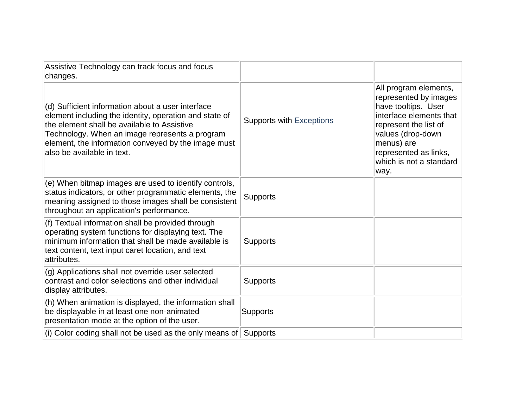| Assistive Technology can track focus and focus<br>changes.                                                                                                                                                                                                                                        |                                 |                                                                                                                                                                                                                          |
|---------------------------------------------------------------------------------------------------------------------------------------------------------------------------------------------------------------------------------------------------------------------------------------------------|---------------------------------|--------------------------------------------------------------------------------------------------------------------------------------------------------------------------------------------------------------------------|
| (d) Sufficient information about a user interface<br>element including the identity, operation and state of<br>the element shall be available to Assistive<br>Technology. When an image represents a program<br>element, the information conveyed by the image must<br>also be available in text. | <b>Supports with Exceptions</b> | All program elements,<br>represented by images<br>have tooltips. User<br>interface elements that<br>represent the list of<br>values (drop-down<br>menus) are<br>represented as links,<br>which is not a standard<br>way. |
| (e) When bitmap images are used to identify controls,<br>status indicators, or other programmatic elements, the<br>meaning assigned to those images shall be consistent<br>throughout an application's performance.                                                                               | <b>Supports</b>                 |                                                                                                                                                                                                                          |
| (f) Textual information shall be provided through<br>operating system functions for displaying text. The<br>minimum information that shall be made available is<br>text content, text input caret location, and text<br>attributes.                                                               | Supports                        |                                                                                                                                                                                                                          |
| (g) Applications shall not override user selected<br>contrast and color selections and other individual<br>display attributes.                                                                                                                                                                    | <b>Supports</b>                 |                                                                                                                                                                                                                          |
| (h) When animation is displayed, the information shall<br>be displayable in at least one non-animated<br>presentation mode at the option of the user.                                                                                                                                             | <b>Supports</b>                 |                                                                                                                                                                                                                          |
| (i) Color coding shall not be used as the only means of                                                                                                                                                                                                                                           | <b>Supports</b>                 |                                                                                                                                                                                                                          |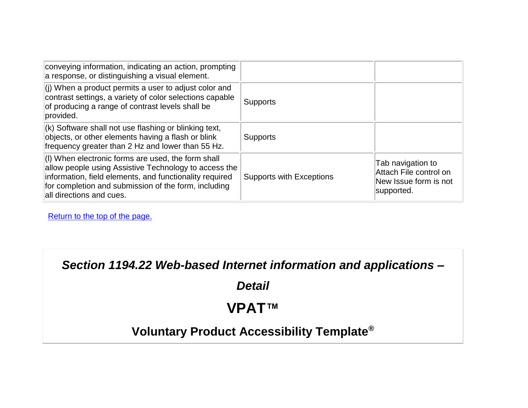| conveying information, indicating an action, prompting<br>a response, or distinguishing a visual element.                                                                                                                                                  |                                 |                                                                                    |
|------------------------------------------------------------------------------------------------------------------------------------------------------------------------------------------------------------------------------------------------------------|---------------------------------|------------------------------------------------------------------------------------|
| $\vert$ (j) When a product permits a user to adjust color and<br>contrast settings, a variety of color selections capable<br>of producing a range of contrast levels shall be<br>provided.                                                                 | <b>Supports</b>                 |                                                                                    |
| $(k)$ Software shall not use flashing or blinking text,<br>objects, or other elements having a flash or blink<br>frequency greater than 2 Hz and lower than 55 Hz.                                                                                         | <b>Supports</b>                 |                                                                                    |
| (I) When electronic forms are used, the form shall<br>allow people using Assistive Technology to access the<br>information, field elements, and functionality required<br>for completion and submission of the form, including<br>all directions and cues. | <b>Supports with Exceptions</b> | Tab navigation to<br>Attach File control on<br>New Issue form is not<br>supported. |

*Section 1194.22 Web-based Internet information and applications –*

*Detail*

# **VPAT™**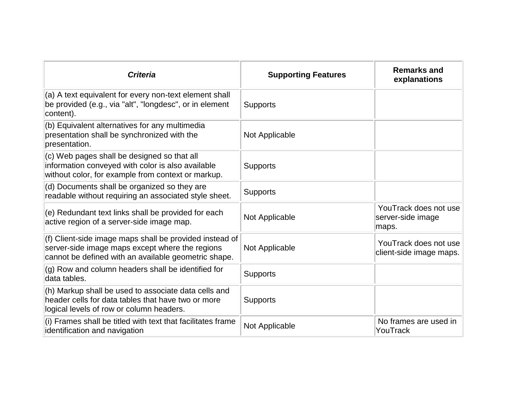| <b>Criteria</b>                                                                                                                                                    | <b>Supporting Features</b> | <b>Remarks and</b><br>explanations                  |
|--------------------------------------------------------------------------------------------------------------------------------------------------------------------|----------------------------|-----------------------------------------------------|
| (a) A text equivalent for every non-text element shall<br>be provided (e.g., via "alt", "longdesc", or in element<br>content).                                     | <b>Supports</b>            |                                                     |
| (b) Equivalent alternatives for any multimedia<br>presentation shall be synchronized with the<br>presentation.                                                     | Not Applicable             |                                                     |
| (c) Web pages shall be designed so that all<br>information conveyed with color is also available<br>without color, for example from context or markup.             | <b>Supports</b>            |                                                     |
| (d) Documents shall be organized so they are<br>readable without requiring an associated style sheet.                                                              | <b>Supports</b>            |                                                     |
| (e) Redundant text links shall be provided for each<br>active region of a server-side image map.                                                                   | Not Applicable             | YouTrack does not use<br>server-side image<br>maps. |
| (f) Client-side image maps shall be provided instead of<br>server-side image maps except where the regions<br>cannot be defined with an available geometric shape. | Not Applicable             | YouTrack does not use<br>client-side image maps.    |
| (g) Row and column headers shall be identified for<br>data tables.                                                                                                 | <b>Supports</b>            |                                                     |
| (h) Markup shall be used to associate data cells and<br>header cells for data tables that have two or more<br>logical levels of row or column headers.             | <b>Supports</b>            |                                                     |
| (i) Frames shall be titled with text that facilitates frame<br>identification and navigation                                                                       | Not Applicable             | No frames are used in<br>YouTrack                   |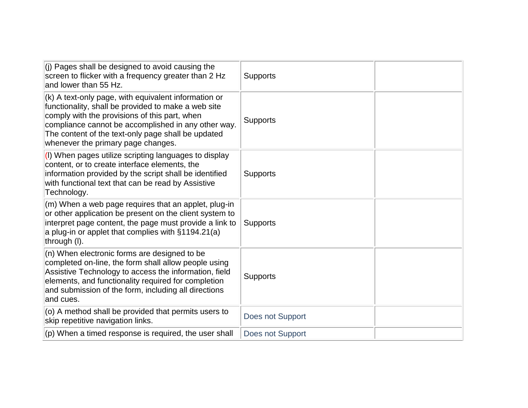| (j) Pages shall be designed to avoid causing the<br>screen to flicker with a frequency greater than 2 Hz<br>and lower than 55 Hz.                                                                                                                                                                               | <b>Supports</b>  |
|-----------------------------------------------------------------------------------------------------------------------------------------------------------------------------------------------------------------------------------------------------------------------------------------------------------------|------------------|
| (k) A text-only page, with equivalent information or<br>functionality, shall be provided to make a web site<br>comply with the provisions of this part, when<br>compliance cannot be accomplished in any other way.<br>The content of the text-only page shall be updated<br>whenever the primary page changes. | <b>Supports</b>  |
| (I) When pages utilize scripting languages to display<br>content, or to create interface elements, the<br>information provided by the script shall be identified<br>with functional text that can be read by Assistive<br>Technology.                                                                           | <b>Supports</b>  |
| (m) When a web page requires that an applet, plug-in<br>or other application be present on the client system to<br>interpret page content, the page must provide a link to<br>a plug-in or applet that complies with §1194.21(a)<br>through (I).                                                                | <b>Supports</b>  |
| (n) When electronic forms are designed to be<br>completed on-line, the form shall allow people using<br>Assistive Technology to access the information, field<br>elements, and functionality required for completion<br>and submission of the form, including all directions<br>and cues.                       | <b>Supports</b>  |
| (o) A method shall be provided that permits users to<br>skip repetitive navigation links.                                                                                                                                                                                                                       | Does not Support |
| (p) When a timed response is required, the user shall                                                                                                                                                                                                                                                           | Does not Support |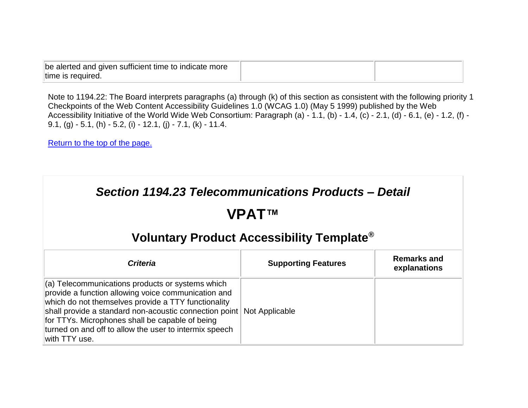| be alerted and given sufficient time to indicate more |  |
|-------------------------------------------------------|--|
| time is required.                                     |  |

Note to 1194.22: The Board interprets paragraphs (a) through (k) of this section as consistent with the following priority 1 Checkpoints of the Web Content Accessibility Guidelines 1.0 (WCAG 1.0) (May 5 1999) published by the Web Accessibility Initiative of the World Wide Web Consortium: Paragraph (a) - 1.1, (b) - 1.4, (c) - 2.1, (d) - 6.1, (e) - 1.2, (f) - 9.1, (g)  $-5.1$ , (h)  $-5.2$ , (i)  $-12.1$ , (j)  $-7.1$ , (k)  $-11.4$ .

| Section 1194.23 Telecommunications Products - Detail<br>VPAT™<br>Voluntary Product Accessibility Template <sup>®</sup>                                                                                                                                                                                                                                 |                            |                                    |
|--------------------------------------------------------------------------------------------------------------------------------------------------------------------------------------------------------------------------------------------------------------------------------------------------------------------------------------------------------|----------------------------|------------------------------------|
| <b>Criteria</b>                                                                                                                                                                                                                                                                                                                                        | <b>Supporting Features</b> | <b>Remarks and</b><br>explanations |
| (a) Telecommunications products or systems which<br>provide a function allowing voice communication and<br>which do not themselves provide a TTY functionality<br>shall provide a standard non-acoustic connection point<br>for TTYs. Microphones shall be capable of being<br>turned on and off to allow the user to intermix speech<br>with TTY use. | Not Applicable             |                                    |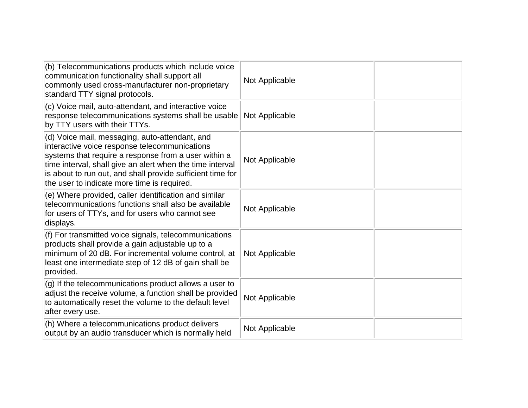| (b) Telecommunications products which include voice<br>communication functionality shall support all<br>commonly used cross-manufacturer non-proprietary<br>standard TTY signal protocols.                                                                                                                                        | Not Applicable |  |
|-----------------------------------------------------------------------------------------------------------------------------------------------------------------------------------------------------------------------------------------------------------------------------------------------------------------------------------|----------------|--|
| (c) Voice mail, auto-attendant, and interactive voice<br>response telecommunications systems shall be usable<br>by TTY users with their TTYs.                                                                                                                                                                                     | Not Applicable |  |
| (d) Voice mail, messaging, auto-attendant, and<br>interactive voice response telecommunications<br>systems that require a response from a user within a<br>time interval, shall give an alert when the time interval<br>is about to run out, and shall provide sufficient time for<br>the user to indicate more time is required. | Not Applicable |  |
| (e) Where provided, caller identification and similar<br>telecommunications functions shall also be available<br>for users of TTYs, and for users who cannot see<br>displays.                                                                                                                                                     | Not Applicable |  |
| (f) For transmitted voice signals, telecommunications<br>products shall provide a gain adjustable up to a<br>minimum of 20 dB. For incremental volume control, at<br>least one intermediate step of 12 dB of gain shall be<br>provided.                                                                                           | Not Applicable |  |
| (g) If the telecommunications product allows a user to<br>adjust the receive volume, a function shall be provided<br>to automatically reset the volume to the default level<br>after every use.                                                                                                                                   | Not Applicable |  |
| (h) Where a telecommunications product delivers<br>output by an audio transducer which is normally held                                                                                                                                                                                                                           | Not Applicable |  |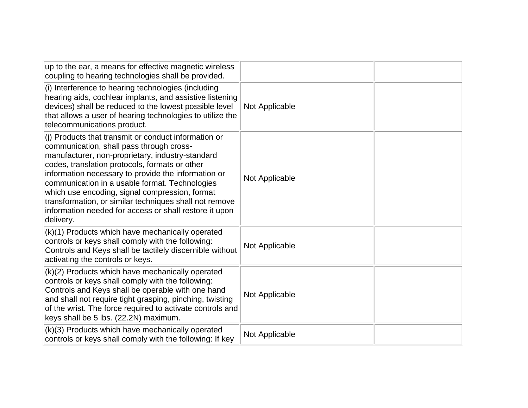| up to the ear, a means for effective magnetic wireless<br>coupling to hearing technologies shall be provided.                                                                                                                                                                                                                                                                                                                                                                                      |                |  |
|----------------------------------------------------------------------------------------------------------------------------------------------------------------------------------------------------------------------------------------------------------------------------------------------------------------------------------------------------------------------------------------------------------------------------------------------------------------------------------------------------|----------------|--|
| (i) Interference to hearing technologies (including<br>hearing aids, cochlear implants, and assistive listening<br>devices) shall be reduced to the lowest possible level<br>that allows a user of hearing technologies to utilize the<br>telecommunications product.                                                                                                                                                                                                                              | Not Applicable |  |
| (i) Products that transmit or conduct information or<br>communication, shall pass through cross-<br>manufacturer, non-proprietary, industry-standard<br>codes, translation protocols, formats or other<br>information necessary to provide the information or<br>communication in a usable format. Technologies<br>which use encoding, signal compression, format<br>transformation, or similar techniques shall not remove<br>information needed for access or shall restore it upon<br>delivery. | Not Applicable |  |
| (k)(1) Products which have mechanically operated<br>controls or keys shall comply with the following:<br>Controls and Keys shall be tactilely discernible without<br>activating the controls or keys.                                                                                                                                                                                                                                                                                              | Not Applicable |  |
| (k)(2) Products which have mechanically operated<br>controls or keys shall comply with the following:<br>Controls and Keys shall be operable with one hand<br>and shall not require tight grasping, pinching, twisting<br>of the wrist. The force required to activate controls and<br>keys shall be 5 lbs. (22.2N) maximum.                                                                                                                                                                       | Not Applicable |  |
| (k)(3) Products which have mechanically operated<br>controls or keys shall comply with the following: If key                                                                                                                                                                                                                                                                                                                                                                                       | Not Applicable |  |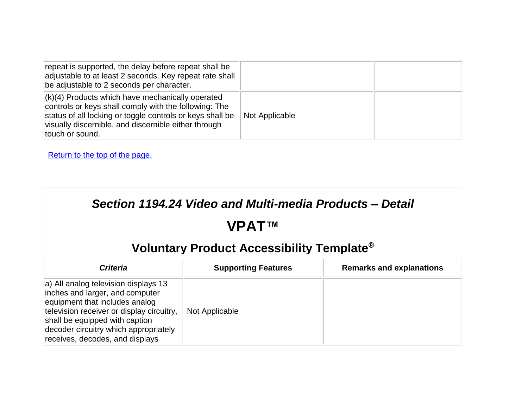| repeat is supported, the delay before repeat shall be<br>adjustable to at least 2 seconds. Key repeat rate shall<br>be adjustable to 2 seconds per character.                                                                                             |                |  |
|-----------------------------------------------------------------------------------------------------------------------------------------------------------------------------------------------------------------------------------------------------------|----------------|--|
| $\vert$ (k)(4) Products which have mechanically operated<br>controls or keys shall comply with the following: The<br>status of all locking or toggle controls or keys shall be<br>visually discernible, and discernible either through<br>touch or sound. | Not Applicable |  |

# **VPAT™**

| <b>Criteria</b>                                                                                                                                                                                                                                                      | <b>Supporting Features</b> | <b>Remarks and explanations</b> |
|----------------------------------------------------------------------------------------------------------------------------------------------------------------------------------------------------------------------------------------------------------------------|----------------------------|---------------------------------|
| a) All analog television displays 13<br>inches and larger, and computer<br>equipment that includes analog<br>television receiver or display circuitry,<br>shall be equipped with caption<br>decoder circuitry which appropriately<br>receives, decodes, and displays | Not Applicable             |                                 |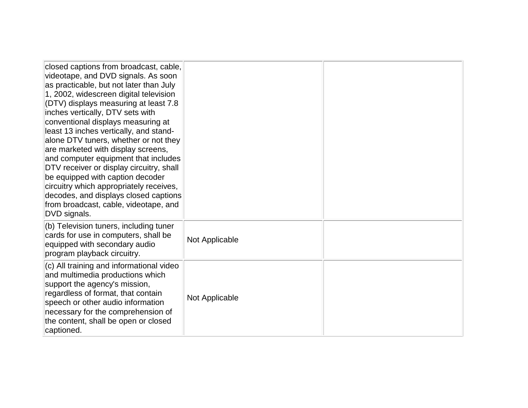| closed captions from broadcast, cable,<br>videotape, and DVD signals. As soon<br>as practicable, but not later than July<br>1, 2002, widescreen digital television<br>(DTV) displays measuring at least 7.8<br>inches vertically, DTV sets with<br>conventional displays measuring at<br>least 13 inches vertically, and stand-<br>alone DTV tuners, whether or not they<br>are marketed with display screens,<br>and computer equipment that includes<br>DTV receiver or display circuitry, shall<br>be equipped with caption decoder<br>circuitry which appropriately receives,<br>decodes, and displays closed captions<br>from broadcast, cable, videotape, and<br>DVD signals. |                |  |
|-------------------------------------------------------------------------------------------------------------------------------------------------------------------------------------------------------------------------------------------------------------------------------------------------------------------------------------------------------------------------------------------------------------------------------------------------------------------------------------------------------------------------------------------------------------------------------------------------------------------------------------------------------------------------------------|----------------|--|
| (b) Television tuners, including tuner<br>cards for use in computers, shall be<br>equipped with secondary audio<br>program playback circuitry.                                                                                                                                                                                                                                                                                                                                                                                                                                                                                                                                      | Not Applicable |  |
| (c) All training and informational video<br>and multimedia productions which<br>support the agency's mission,<br>regardless of format, that contain<br>speech or other audio information<br>necessary for the comprehension of<br>the content, shall be open or closed<br>captioned.                                                                                                                                                                                                                                                                                                                                                                                                | Not Applicable |  |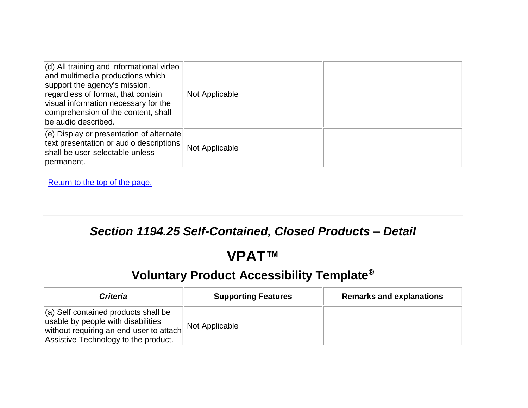| $\vert$ (d) All training and informational video<br>and multimedia productions which<br>support the agency's mission,<br>regardless of format, that contain<br>visual information necessary for the<br>comprehension of the content, shall<br>be audio described. | Not Applicable |  |
|-------------------------------------------------------------------------------------------------------------------------------------------------------------------------------------------------------------------------------------------------------------------|----------------|--|
| $\vert$ (e) Display or presentation of alternate<br>text presentation or audio descriptions<br>shall be user-selectable unless<br>permanent.                                                                                                                      | Not Applicable |  |

| Section 1194.25 Self-Contained, Closed Products - Detail                                                                                                              |                            |                                 |
|-----------------------------------------------------------------------------------------------------------------------------------------------------------------------|----------------------------|---------------------------------|
| <b>VPATTM</b>                                                                                                                                                         |                            |                                 |
| Voluntary Product Accessibility Template <sup>®</sup>                                                                                                                 |                            |                                 |
| <b>Criteria</b>                                                                                                                                                       | <b>Supporting Features</b> | <b>Remarks and explanations</b> |
| $\vert$ (a) Self contained products shall be<br>usable by people with disabilities<br>without requiring an end-user to attach<br>Assistive Technology to the product. | Not Applicable             |                                 |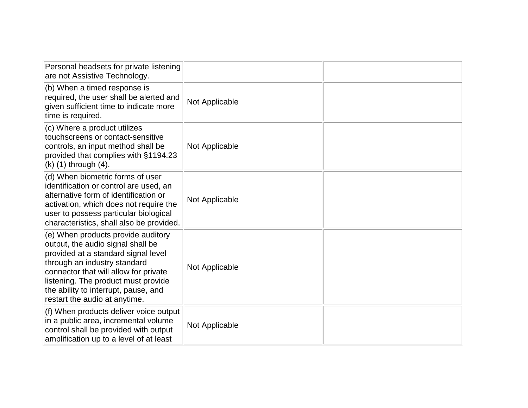| Personal headsets for private listening<br>are not Assistive Technology.                                                                                                                                                                                                                                |                |  |
|---------------------------------------------------------------------------------------------------------------------------------------------------------------------------------------------------------------------------------------------------------------------------------------------------------|----------------|--|
| (b) When a timed response is<br>required, the user shall be alerted and<br>given sufficient time to indicate more<br>time is required.                                                                                                                                                                  | Not Applicable |  |
| (c) Where a product utilizes<br>touchscreens or contact-sensitive<br>controls, an input method shall be<br>provided that complies with §1194.23<br>$(k)$ (1) through (4).                                                                                                                               | Not Applicable |  |
| (d) When biometric forms of user<br>identification or control are used, an<br>alternative form of identification or<br>activation, which does not require the<br>user to possess particular biological<br>characteristics, shall also be provided.                                                      | Not Applicable |  |
| (e) When products provide auditory<br>output, the audio signal shall be<br>provided at a standard signal level<br>through an industry standard<br>connector that will allow for private<br>listening. The product must provide<br>the ability to interrupt, pause, and<br>restart the audio at anytime. | Not Applicable |  |
| (f) When products deliver voice output<br>in a public area, incremental volume<br>control shall be provided with output<br>amplification up to a level of at least                                                                                                                                      | Not Applicable |  |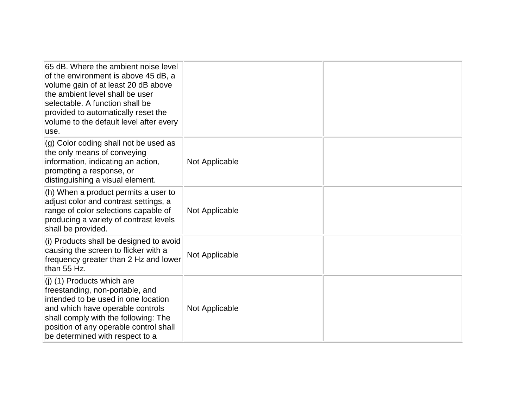| 65 dB. Where the ambient noise level<br>of the environment is above 45 dB, a<br>volume gain of at least 20 dB above<br>the ambient level shall be user<br>selectable. A function shall be<br>provided to automatically reset the<br>volume to the default level after every<br>use. |                |  |
|-------------------------------------------------------------------------------------------------------------------------------------------------------------------------------------------------------------------------------------------------------------------------------------|----------------|--|
| (g) Color coding shall not be used as<br>the only means of conveying<br>information, indicating an action,<br>prompting a response, or<br>distinguishing a visual element.                                                                                                          | Not Applicable |  |
| (h) When a product permits a user to<br>adjust color and contrast settings, a<br>range of color selections capable of<br>producing a variety of contrast levels<br>shall be provided.                                                                                               | Not Applicable |  |
| (i) Products shall be designed to avoid<br>causing the screen to flicker with a<br>frequency greater than 2 Hz and lower<br>than 55 Hz.                                                                                                                                             | Not Applicable |  |
| $(i)$ (1) Products which are<br>freestanding, non-portable, and<br>intended to be used in one location<br>and which have operable controls<br>shall comply with the following: The<br>position of any operable control shall<br>be determined with respect to a                     | Not Applicable |  |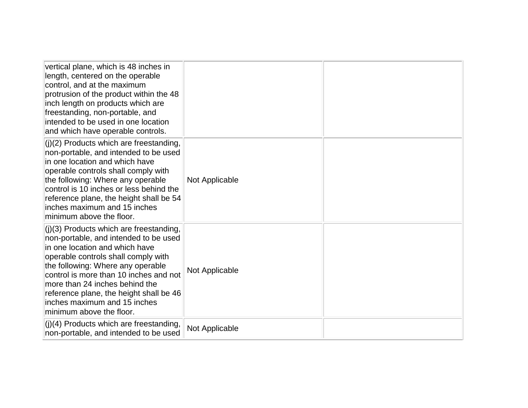| vertical plane, which is 48 inches in<br>length, centered on the operable<br>control, and at the maximum<br>protrusion of the product within the 48<br>inch length on products which are<br>freestanding, non-portable, and<br>intended to be used in one location<br>and which have operable controls.                                                                              |                |  |
|--------------------------------------------------------------------------------------------------------------------------------------------------------------------------------------------------------------------------------------------------------------------------------------------------------------------------------------------------------------------------------------|----------------|--|
| $(i)(2)$ Products which are freestanding,<br>non-portable, and intended to be used<br>in one location and which have<br>operable controls shall comply with<br>the following: Where any operable<br>control is 10 inches or less behind the<br>reference plane, the height shall be 54<br>linches maximum and 15 inches<br>minimum above the floor.                                  | Not Applicable |  |
| $(i)(3)$ Products which are freestanding,<br>non-portable, and intended to be used<br>in one location and which have<br>operable controls shall comply with<br>the following: Where any operable<br>control is more than 10 inches and not<br>more than 24 inches behind the<br>reference plane, the height shall be 46<br>linches maximum and 15 inches<br>minimum above the floor. | Not Applicable |  |
| $($ i)(4) Products which are freestanding,<br>non-portable, and intended to be used                                                                                                                                                                                                                                                                                                  | Not Applicable |  |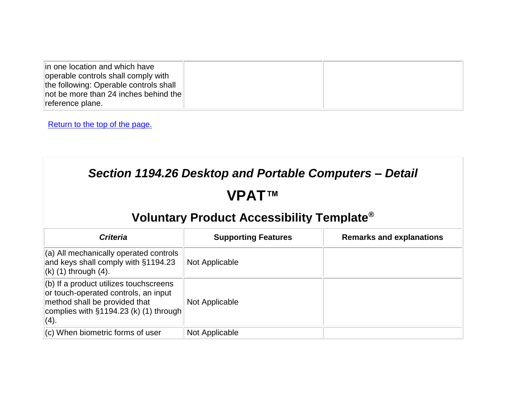| in one location and which have<br>operable controls shall comply with<br>the following: Operable controls shall<br>$\parallel$ not be more than 24 inches behind the $\parallel$ |  |
|----------------------------------------------------------------------------------------------------------------------------------------------------------------------------------|--|
| reference plane.                                                                                                                                                                 |  |

### *Section 1194.26 Desktop and Portable Computers – Detail*

### **VPAT™**

| <b>Criteria</b>                                                                                                                                                          | <b>Supporting Features</b> | <b>Remarks and explanations</b> |
|--------------------------------------------------------------------------------------------------------------------------------------------------------------------------|----------------------------|---------------------------------|
| $(a)$ All mechanically operated controls<br>and keys shall comply with §1194.23<br>$\vert$ (k) (1) through (4).                                                          | Not Applicable             |                                 |
| $ $ (b) If a product utilizes touchscreens<br>or touch-operated controls, an input<br>method shall be provided that<br>complies with $\S1194.23$ (k) (1) through<br>(4). | Not Applicable             |                                 |
| $\vert$ (c) When biometric forms of user                                                                                                                                 | Not Applicable             |                                 |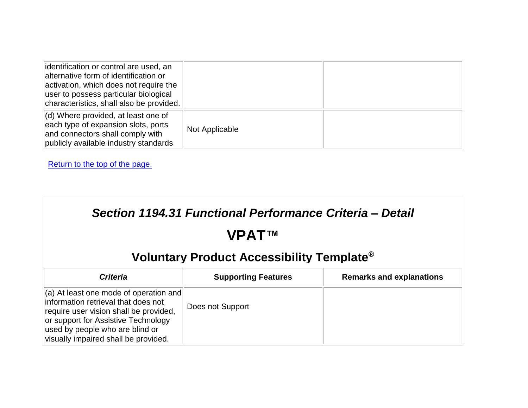| dentification or control are used, an<br>alternative form of identification or<br>activation, which does not require the<br>user to possess particular biological<br>characteristics, shall also be provided. |                |  |
|---------------------------------------------------------------------------------------------------------------------------------------------------------------------------------------------------------------|----------------|--|
| $\vert$ (d) Where provided, at least one of<br>each type of expansion slots, ports<br>and connectors shall comply with<br>publicly available industry standards                                               | Not Applicable |  |

| Section 1194.31 Functional Performance Criteria - Detail                                                                                                                                                                                  |                            |                                 |
|-------------------------------------------------------------------------------------------------------------------------------------------------------------------------------------------------------------------------------------------|----------------------------|---------------------------------|
|                                                                                                                                                                                                                                           | <b>VPATTM</b>              |                                 |
| Voluntary Product Accessibility Template <sup>®</sup>                                                                                                                                                                                     |                            |                                 |
| <b>Criteria</b>                                                                                                                                                                                                                           | <b>Supporting Features</b> | <b>Remarks and explanations</b> |
| (a) At least one mode of operation and<br>information retrieval that does not<br>require user vision shall be provided,<br>or support for Assistive Technology<br>used by people who are blind or<br>visually impaired shall be provided. | Does not Support           |                                 |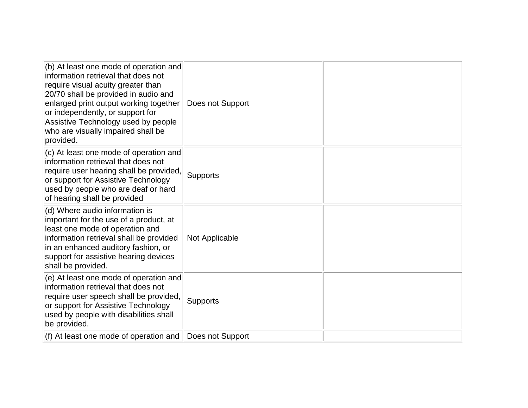| $ $ (b) At least one mode of operation and<br>information retrieval that does not<br>require visual acuity greater than<br>20/70 shall be provided in audio and<br>enlarged print output working together<br>or independently, or support for<br>Assistive Technology used by people<br>who are visually impaired shall be<br>provided. | Does not Support |  |
|-----------------------------------------------------------------------------------------------------------------------------------------------------------------------------------------------------------------------------------------------------------------------------------------------------------------------------------------|------------------|--|
| (c) At least one mode of operation and<br>information retrieval that does not<br>require user hearing shall be provided,<br>or support for Assistive Technology<br>used by people who are deaf or hard<br>of hearing shall be provided                                                                                                  | Supports         |  |
| (d) Where audio information is<br>important for the use of a product, at<br>least one mode of operation and<br>information retrieval shall be provided<br>in an enhanced auditory fashion, or<br>support for assistive hearing devices<br>shall be provided.                                                                            | Not Applicable   |  |
| (e) At least one mode of operation and<br>information retrieval that does not<br>require user speech shall be provided,<br>or support for Assistive Technology<br>used by people with disabilities shall<br>be provided.                                                                                                                | <b>Supports</b>  |  |
| $(f)$ At least one mode of operation and                                                                                                                                                                                                                                                                                                | Does not Support |  |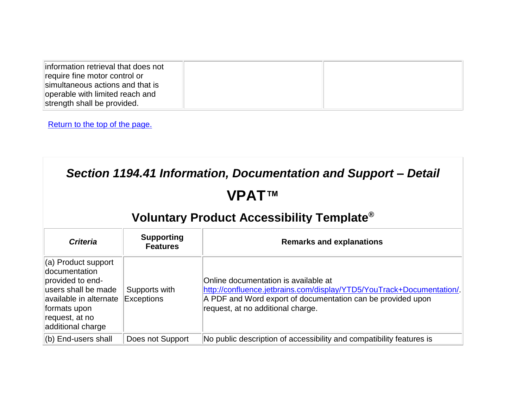| information retrieval that does not<br>require fine motor control or<br>simultaneous actions and that is<br>operable with limited reach and |  |
|---------------------------------------------------------------------------------------------------------------------------------------------|--|
| strength shall be provided.                                                                                                                 |  |

| Section 1194.41 Information, Documentation and Support – Detail<br>VPAT™<br>Voluntary Product Accessibility Template <sup>®</sup> |                  |                                                                      |  |  |                                                                                                                                                                  |                                      |                                                                                                                                                                                                                   |
|-----------------------------------------------------------------------------------------------------------------------------------|------------------|----------------------------------------------------------------------|--|--|------------------------------------------------------------------------------------------------------------------------------------------------------------------|--------------------------------------|-------------------------------------------------------------------------------------------------------------------------------------------------------------------------------------------------------------------|
|                                                                                                                                   |                  |                                                                      |  |  | <b>Criteria</b>                                                                                                                                                  | <b>Supporting</b><br><b>Features</b> | <b>Remarks and explanations</b>                                                                                                                                                                                   |
|                                                                                                                                   |                  |                                                                      |  |  | (a) Product support<br>documentation<br>provided to end-<br>users shall be made<br>available in alternate<br>formats upon<br>request, at no<br>additional charge | Supports with<br>Exceptions          | Online documentation is available at<br>http://confluence.jetbrains.com/display/YTD5/YouTrack+Documentation/.<br>A PDF and Word export of documentation can be provided upon<br>request, at no additional charge. |
| (b) End-users shall                                                                                                               | Does not Support | No public description of accessibility and compatibility features is |  |  |                                                                                                                                                                  |                                      |                                                                                                                                                                                                                   |